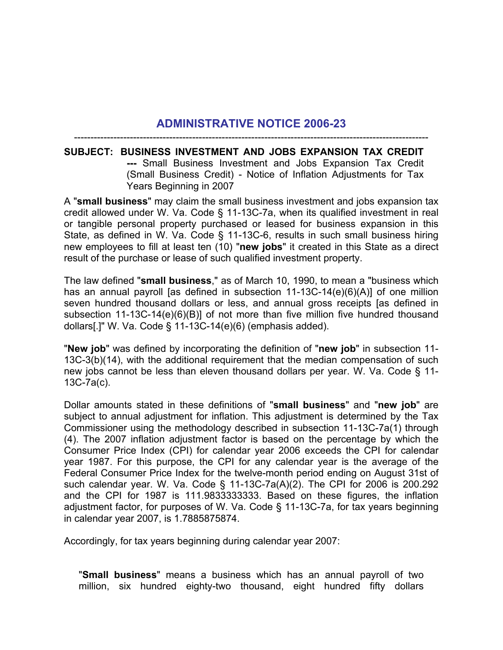## **ADMINISTRATIVE NOTICE 2006-23** ------------------------------------------------------------------------------------------------------------

## **SUBJECT: BUSINESS INVESTMENT AND JOBS EXPANSION TAX CREDIT ---** Small Business Investment and Jobs Expansion Tax Credit (Small Business Credit) - Notice of Inflation Adjustments for Tax Years Beginning in 2007

A "**small business**" may claim the small business investment and jobs expansion tax credit allowed under W. Va. Code § 11-13C-7a, when its qualified investment in real or tangible personal property purchased or leased for business expansion in this State, as defined in W. Va. Code § 11-13C-6, results in such small business hiring new employees to fill at least ten (10) "**new jobs**" it created in this State as a direct result of the purchase or lease of such qualified investment property.

The law defined "**small business**," as of March 10, 1990, to mean a "business which has an annual payroll [as defined in subsection 11-13C-14(e)(6)(A)] of one million seven hundred thousand dollars or less, and annual gross receipts [as defined in subsection 11-13C-14(e)(6)(B)] of not more than five million five hundred thousand dollars[.]" W. Va. Code § 11-13C-14(e)(6) (emphasis added).

"**New job**" was defined by incorporating the definition of "**new job**" in subsection 11- 13C-3(b)(14), with the additional requirement that the median compensation of such new jobs cannot be less than eleven thousand dollars per year. W. Va. Code § 11- 13C-7a(c).

Dollar amounts stated in these definitions of "**small business**" and "**new job**" are subject to annual adjustment for inflation. This adjustment is determined by the Tax Commissioner using the methodology described in subsection 11-13C-7a(1) through (4). The 2007 inflation adjustment factor is based on the percentage by which the Consumer Price Index (CPI) for calendar year 2006 exceeds the CPI for calendar year 1987. For this purpose, the CPI for any calendar year is the average of the Federal Consumer Price Index for the twelve-month period ending on August 31st of such calendar year. W. Va. Code § 11-13C-7a(A)(2). The CPI for 2006 is 200.292 and the CPI for 1987 is 111.9833333333. Based on these figures, the inflation adjustment factor, for purposes of W. Va. Code § 11-13C-7a, for tax years beginning in calendar year 2007, is 1.7885875874.

Accordingly, for tax years beginning during calendar year 2007:

"**Small business**" means a business which has an annual payroll of two million, six hundred eighty-two thousand, eight hundred fifty dollars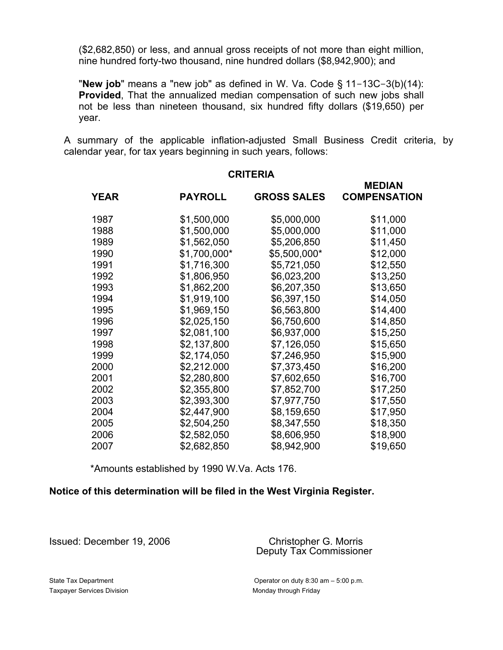(\$2,682,850) or less, and annual gross receipts of not more than eight million, nine hundred forty-two thousand, nine hundred dollars (\$8,942,900); and

"**New job**" means a "new job" as defined in W. Va. Code § 11-13C-3(b)(14): **Provided**, That the annualized median compensation of such new jobs shall not be less than nineteen thousand, six hundred fifty dollars (\$19,650) per year.

A summary of the applicable inflation-adjusted Small Business Credit criteria, by calendar year, for tax years beginning in such years, follows:

 **MEDIAN**

**CRITERIA**

|             |                |                    | <b>WEDIAN</b>       |
|-------------|----------------|--------------------|---------------------|
| <b>YEAR</b> | <b>PAYROLL</b> | <b>GROSS SALES</b> | <b>COMPENSATION</b> |
| 1987        | \$1,500,000    | \$5,000,000        | \$11,000            |
| 1988        | \$1,500,000    | \$5,000,000        | \$11,000            |
| 1989        | \$1,562,050    | \$5,206,850        | \$11,450            |
| 1990        | \$1,700,000*   | \$5,500,000*       | \$12,000            |
| 1991        | \$1,716,300    | \$5,721,050        | \$12,550            |
| 1992        | \$1,806,950    | \$6,023,200        | \$13,250            |
| 1993        | \$1,862,200    | \$6,207,350        | \$13,650            |
| 1994        | \$1,919,100    | \$6,397,150        | \$14,050            |
| 1995        | \$1,969,150    | \$6,563,800        | \$14,400            |
| 1996        | \$2,025,150    | \$6,750,600        | \$14,850            |
| 1997        | \$2,081,100    | \$6,937,000        | \$15,250            |
| 1998        | \$2,137,800    | \$7,126,050        | \$15,650            |
| 1999        | \$2,174,050    | \$7,246,950        | \$15,900            |
| 2000        | \$2,212.000    | \$7,373,450        | \$16,200            |
| 2001        | \$2,280,800    | \$7,602,650        | \$16,700            |
| 2002        | \$2,355,800    | \$7,852,700        | \$17,250            |
| 2003        | \$2,393,300    | \$7,977,750        | \$17,550            |
| 2004        | \$2,447,900    | \$8,159,650        | \$17,950            |
| 2005        | \$2,504,250    | \$8,347,550        | \$18,350            |
| 2006        | \$2,582,050    | \$8,606,950        | \$18,900            |
| 2007        | \$2,682,850    | \$8,942,900        | \$19,650            |

\*Amounts established by 1990 W.Va. Acts 176.

## **Notice of this determination will be filed in the West Virginia Register.**

Issued: December 19, 2006 Christopher G. Morris

Deputy Tax Commissioner

Taxpayer Services Division Monday through Friday

State Tax Department Operator on duty 8:30 am – 5:00 p.m.